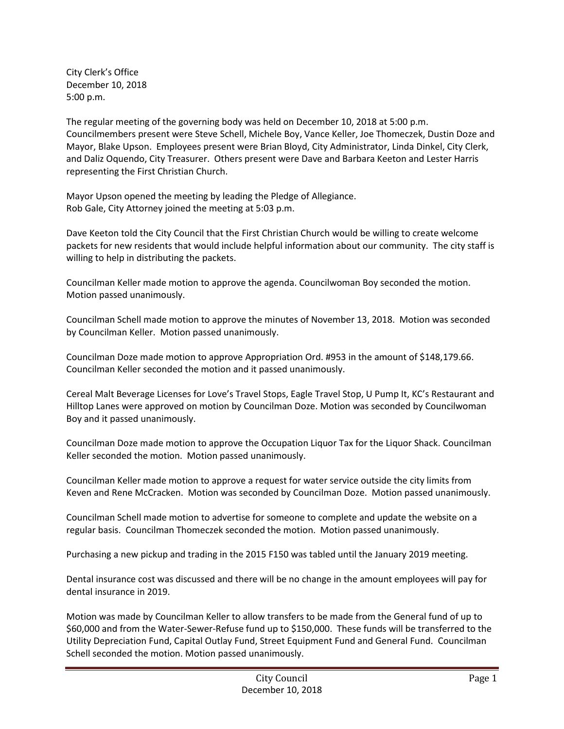City Clerk's Office December 10, 2018 5:00 p.m.

The regular meeting of the governing body was held on December 10, 2018 at 5:00 p.m. Councilmembers present were Steve Schell, Michele Boy, Vance Keller, Joe Thomeczek, Dustin Doze and Mayor, Blake Upson. Employees present were Brian Bloyd, City Administrator, Linda Dinkel, City Clerk, and Daliz Oquendo, City Treasurer. Others present were Dave and Barbara Keeton and Lester Harris representing the First Christian Church.

Mayor Upson opened the meeting by leading the Pledge of Allegiance. Rob Gale, City Attorney joined the meeting at 5:03 p.m.

Dave Keeton told the City Council that the First Christian Church would be willing to create welcome packets for new residents that would include helpful information about our community. The city staff is willing to help in distributing the packets.

Councilman Keller made motion to approve the agenda. Councilwoman Boy seconded the motion. Motion passed unanimously.

Councilman Schell made motion to approve the minutes of November 13, 2018. Motion was seconded by Councilman Keller. Motion passed unanimously.

Councilman Doze made motion to approve Appropriation Ord. #953 in the amount of \$148,179.66. Councilman Keller seconded the motion and it passed unanimously.

Cereal Malt Beverage Licenses for Love's Travel Stops, Eagle Travel Stop, U Pump It, KC's Restaurant and Hilltop Lanes were approved on motion by Councilman Doze. Motion was seconded by Councilwoman Boy and it passed unanimously.

Councilman Doze made motion to approve the Occupation Liquor Tax for the Liquor Shack. Councilman Keller seconded the motion. Motion passed unanimously.

Councilman Keller made motion to approve a request for water service outside the city limits from Keven and Rene McCracken. Motion was seconded by Councilman Doze. Motion passed unanimously.

Councilman Schell made motion to advertise for someone to complete and update the website on a regular basis. Councilman Thomeczek seconded the motion. Motion passed unanimously.

Purchasing a new pickup and trading in the 2015 F150 was tabled until the January 2019 meeting.

Dental insurance cost was discussed and there will be no change in the amount employees will pay for dental insurance in 2019.

Motion was made by Councilman Keller to allow transfers to be made from the General fund of up to \$60,000 and from the Water-Sewer-Refuse fund up to \$150,000. These funds will be transferred to the Utility Depreciation Fund, Capital Outlay Fund, Street Equipment Fund and General Fund. Councilman Schell seconded the motion. Motion passed unanimously.